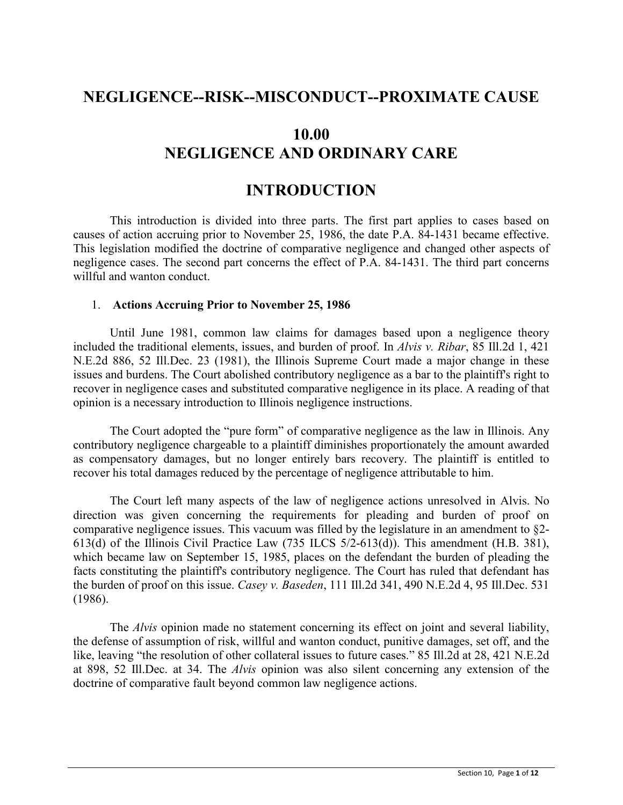## **NEGLIGENCE--RISK--MISCONDUCT--PROXIMATE CAUSE**

# **10.00 NEGLIGENCE AND ORDINARY CARE**

## **INTRODUCTION**

This introduction is divided into three parts. The first part applies to cases based on causes of action accruing prior to November 25, 1986, the date P.A. 84-1431 became effective. This legislation modified the doctrine of comparative negligence and changed other aspects of negligence cases. The second part concerns the effect of P.A. 84-1431. The third part concerns willful and wanton conduct.

## 1. **Actions Accruing Prior to November 25, 1986**

Until June 1981, common law claims for damages based upon a negligence theory included the traditional elements, issues, and burden of proof. In *Alvis v. Ribar*, 85 Ill.2d 1, 421 N.E.2d 886, 52 Ill.Dec. 23 (1981), the Illinois Supreme Court made a major change in these issues and burdens. The Court abolished contributory negligence as a bar to the plaintiff's right to recover in negligence cases and substituted comparative negligence in its place. A reading of that opinion is a necessary introduction to Illinois negligence instructions.

The Court adopted the "pure form" of comparative negligence as the law in Illinois. Any contributory negligence chargeable to a plaintiff diminishes proportionately the amount awarded as compensatory damages, but no longer entirely bars recovery. The plaintiff is entitled to recover his total damages reduced by the percentage of negligence attributable to him.

The Court left many aspects of the law of negligence actions unresolved in Alvis. No direction was given concerning the requirements for pleading and burden of proof on comparative negligence issues. This vacuum was filled by the legislature in an amendment to §2- 613(d) of the Illinois Civil Practice Law (735 ILCS 5/2-613(d)). This amendment (H.B. 381), which became law on September 15, 1985, places on the defendant the burden of pleading the facts constituting the plaintiff's contributory negligence. The Court has ruled that defendant has the burden of proof on this issue. *Casey v. Baseden*, 111 Ill.2d 341, 490 N.E.2d 4, 95 Ill.Dec. 531 (1986).

The *Alvis* opinion made no statement concerning its effect on joint and several liability, the defense of assumption of risk, willful and wanton conduct, punitive damages, set off, and the like, leaving "the resolution of other collateral issues to future cases." 85 Ill.2d at 28, 421 N.E.2d at 898, 52 Ill.Dec. at 34. The *Alvis* opinion was also silent concerning any extension of the doctrine of comparative fault beyond common law negligence actions.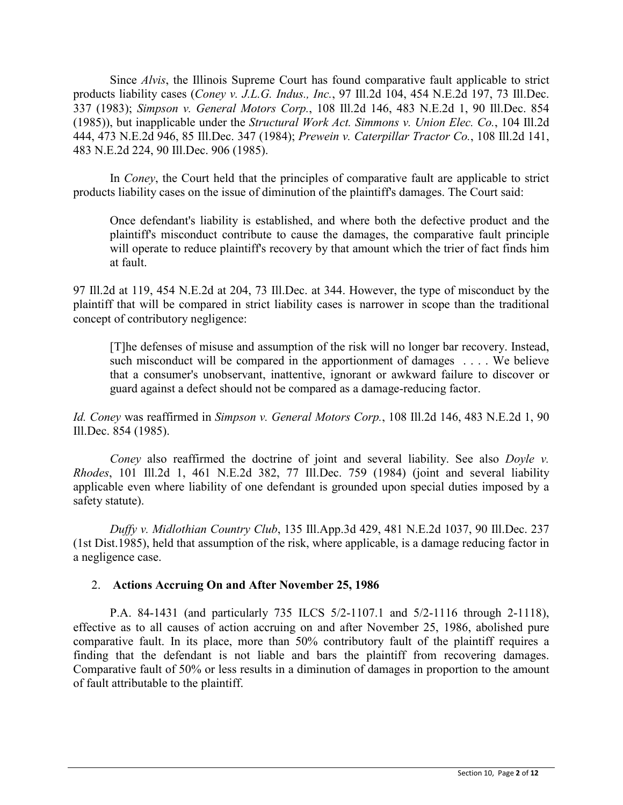Since *Alvis*, the Illinois Supreme Court has found comparative fault applicable to strict products liability cases (*Coney v. J.L.G. Indus., Inc.*, 97 Ill.2d 104, 454 N.E.2d 197, 73 Ill.Dec. 337 (1983); *Simpson v. General Motors Corp.*, 108 Ill.2d 146, 483 N.E.2d 1, 90 Ill.Dec. 854 (1985)), but inapplicable under the *Structural Work Act. Simmons v. Union Elec. Co.*, 104 Ill.2d 444, 473 N.E.2d 946, 85 Ill.Dec. 347 (1984); *Prewein v. Caterpillar Tractor Co.*, 108 Ill.2d 141, 483 N.E.2d 224, 90 Ill.Dec. 906 (1985).

In *Coney*, the Court held that the principles of comparative fault are applicable to strict products liability cases on the issue of diminution of the plaintiff's damages. The Court said:

Once defendant's liability is established, and where both the defective product and the plaintiff's misconduct contribute to cause the damages, the comparative fault principle will operate to reduce plaintiff's recovery by that amount which the trier of fact finds him at fault.

97 Ill.2d at 119, 454 N.E.2d at 204, 73 Ill.Dec. at 344. However, the type of misconduct by the plaintiff that will be compared in strict liability cases is narrower in scope than the traditional concept of contributory negligence:

[T]he defenses of misuse and assumption of the risk will no longer bar recovery. Instead, such misconduct will be compared in the apportionment of damages . . . . We believe that a consumer's unobservant, inattentive, ignorant or awkward failure to discover or guard against a defect should not be compared as a damage-reducing factor.

*Id. Coney* was reaffirmed in *Simpson v. General Motors Corp.*, 108 Ill.2d 146, 483 N.E.2d 1, 90 Ill.Dec. 854 (1985).

*Coney* also reaffirmed the doctrine of joint and several liability. See also *Doyle v. Rhodes*, 101 Ill.2d 1, 461 N.E.2d 382, 77 Ill.Dec. 759 (1984) (joint and several liability applicable even where liability of one defendant is grounded upon special duties imposed by a safety statute).

*Duffy v. Midlothian Country Club*, 135 Ill.App.3d 429, 481 N.E.2d 1037, 90 Ill.Dec. 237 (1st Dist.1985), held that assumption of the risk, where applicable, is a damage reducing factor in a negligence case.

## 2. **Actions Accruing On and After November 25, 1986**

P.A. 84-1431 (and particularly 735 ILCS 5/2-1107.1 and 5/2-1116 through 2-1118), effective as to all causes of action accruing on and after November 25, 1986, abolished pure comparative fault. In its place, more than 50% contributory fault of the plaintiff requires a finding that the defendant is not liable and bars the plaintiff from recovering damages. Comparative fault of 50% or less results in a diminution of damages in proportion to the amount of fault attributable to the plaintiff.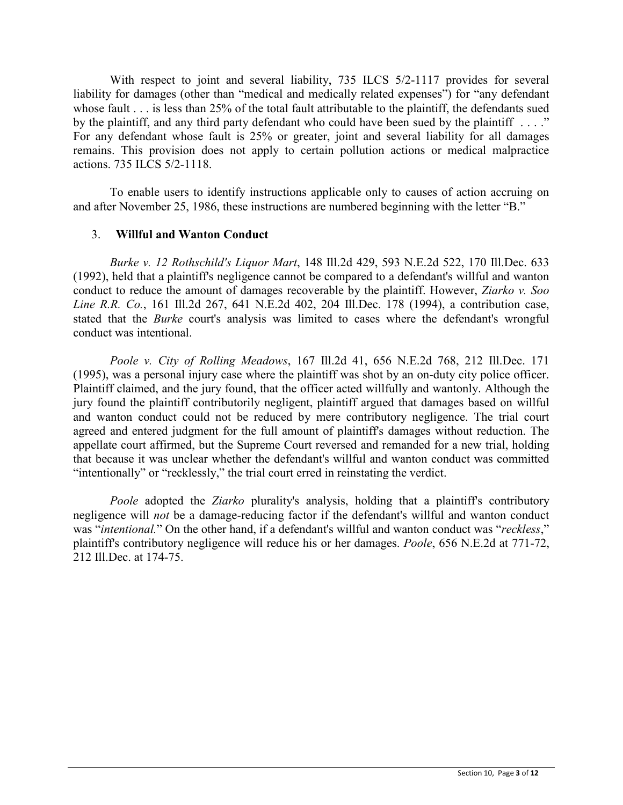With respect to joint and several liability, 735 ILCS 5/2-1117 provides for several liability for damages (other than "medical and medically related expenses") for "any defendant whose fault . . . is less than 25% of the total fault attributable to the plaintiff, the defendants sued by the plaintiff, and any third party defendant who could have been sued by the plaintiff . . . ." For any defendant whose fault is 25% or greater, joint and several liability for all damages remains. This provision does not apply to certain pollution actions or medical malpractice actions. 735 ILCS 5/2-1118.

To enable users to identify instructions applicable only to causes of action accruing on and after November 25, 1986, these instructions are numbered beginning with the letter "B."

## 3. **Willful and Wanton Conduct**

*Burke v. 12 Rothschild's Liquor Mart*, 148 Ill.2d 429, 593 N.E.2d 522, 170 Ill.Dec. 633 (1992), held that a plaintiff's negligence cannot be compared to a defendant's willful and wanton conduct to reduce the amount of damages recoverable by the plaintiff. However, *Ziarko v. Soo Line R.R. Co.*, 161 Ill.2d 267, 641 N.E.2d 402, 204 Ill.Dec. 178 (1994), a contribution case, stated that the *Burke* court's analysis was limited to cases where the defendant's wrongful conduct was intentional.

*Poole v. City of Rolling Meadows*, 167 Ill.2d 41, 656 N.E.2d 768, 212 Ill.Dec. 171 (1995), was a personal injury case where the plaintiff was shot by an on-duty city police officer. Plaintiff claimed, and the jury found, that the officer acted willfully and wantonly. Although the jury found the plaintiff contributorily negligent, plaintiff argued that damages based on willful and wanton conduct could not be reduced by mere contributory negligence. The trial court agreed and entered judgment for the full amount of plaintiff's damages without reduction. The appellate court affirmed, but the Supreme Court reversed and remanded for a new trial, holding that because it was unclear whether the defendant's willful and wanton conduct was committed "intentionally" or "recklessly," the trial court erred in reinstating the verdict.

*Poole* adopted the *Ziarko* plurality's analysis, holding that a plaintiff's contributory negligence will *not* be a damage-reducing factor if the defendant's willful and wanton conduct was "*intentional.*" On the other hand, if a defendant's willful and wanton conduct was "*reckless*," plaintiff's contributory negligence will reduce his or her damages. *Poole*, 656 N.E.2d at 771-72, 212 Ill.Dec. at 174-75.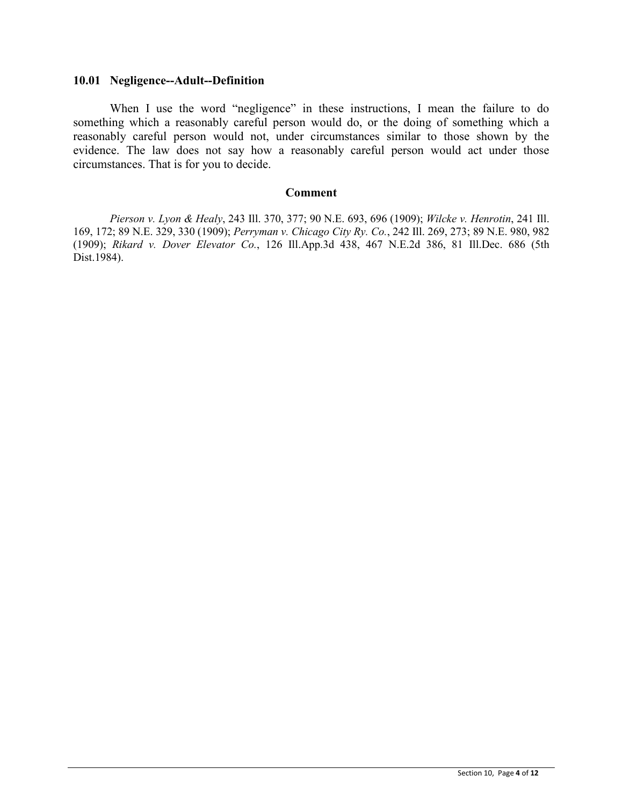#### **10.01 Negligence--Adult--Definition**

When I use the word "negligence" in these instructions, I mean the failure to do something which a reasonably careful person would do, or the doing of something which a reasonably careful person would not, under circumstances similar to those shown by the evidence. The law does not say how a reasonably careful person would act under those circumstances. That is for you to decide.

#### **Comment**

*Pierson v. Lyon & Healy*, 243 Ill. 370, 377; 90 N.E. 693, 696 (1909); *Wilcke v. Henrotin*, 241 Ill. 169, 172; 89 N.E. 329, 330 (1909); *Perryman v. Chicago City Ry. Co.*, 242 Ill. 269, 273; 89 N.E. 980, 982 (1909); *Rikard v. Dover Elevator Co.*, 126 Ill.App.3d 438, 467 N.E.2d 386, 81 Ill.Dec. 686 (5th Dist.1984).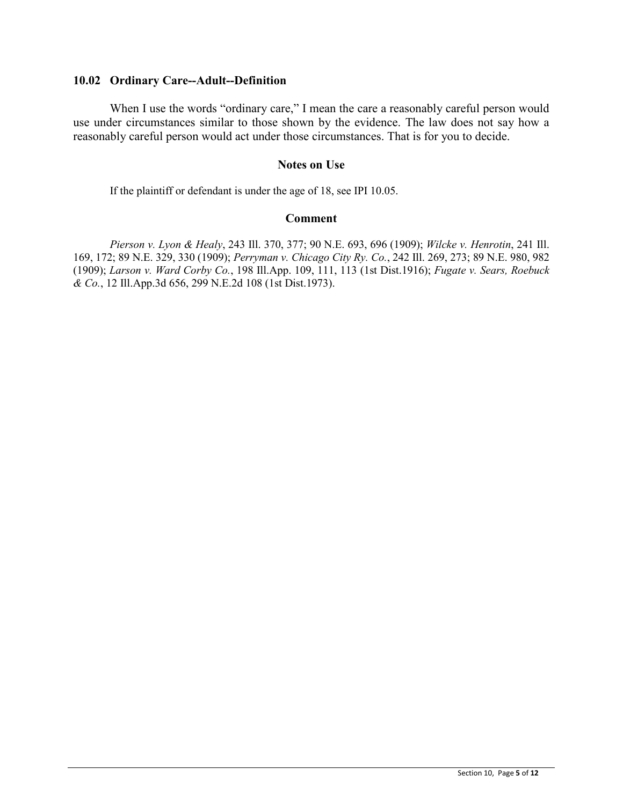### **10.02 Ordinary Care--Adult--Definition**

When I use the words "ordinary care," I mean the care a reasonably careful person would use under circumstances similar to those shown by the evidence. The law does not say how a reasonably careful person would act under those circumstances. That is for you to decide.

## **Notes on Use**

If the plaintiff or defendant is under the age of 18, see IPI 10.05.

## **Comment**

*Pierson v. Lyon & Healy*, 243 Ill. 370, 377; 90 N.E. 693, 696 (1909); *Wilcke v. Henrotin*, 241 Ill. 169, 172; 89 N.E. 329, 330 (1909); *Perryman v. Chicago City Ry. Co.*, 242 Ill. 269, 273; 89 N.E. 980, 982 (1909); *Larson v. Ward Corby Co.*, 198 Ill.App. 109, 111, 113 (1st Dist.1916); *Fugate v. Sears, Roebuck & Co.*, 12 Ill.App.3d 656, 299 N.E.2d 108 (1st Dist.1973).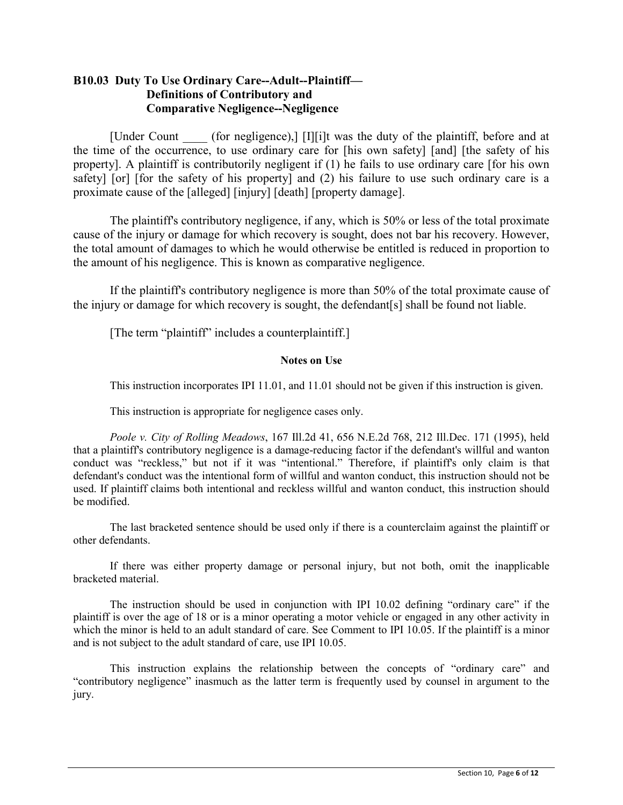## **B10.03 Duty To Use Ordinary Care--Adult--Plaintiff— Definitions of Contributory and Comparative Negligence--Negligence**

[Under Count (for negligence),] [I][i]t was the duty of the plaintiff, before and at the time of the occurrence, to use ordinary care for [his own safety] [and] [the safety of his property]. A plaintiff is contributorily negligent if (1) he fails to use ordinary care [for his own safety] [or] [for the safety of his property] and (2) his failure to use such ordinary care is a proximate cause of the [alleged] [injury] [death] [property damage].

The plaintiff's contributory negligence, if any, which is 50% or less of the total proximate cause of the injury or damage for which recovery is sought, does not bar his recovery. However, the total amount of damages to which he would otherwise be entitled is reduced in proportion to the amount of his negligence. This is known as comparative negligence.

If the plaintiff's contributory negligence is more than 50% of the total proximate cause of the injury or damage for which recovery is sought, the defendant[s] shall be found not liable.

[The term "plaintiff" includes a counterplaintiff.]

## **Notes on Use**

This instruction incorporates IPI 11.01, and 11.01 should not be given if this instruction is given.

This instruction is appropriate for negligence cases only.

*Poole v. City of Rolling Meadows*, 167 Ill.2d 41, 656 N.E.2d 768, 212 Ill.Dec. 171 (1995), held that a plaintiff's contributory negligence is a damage-reducing factor if the defendant's willful and wanton conduct was "reckless," but not if it was "intentional." Therefore, if plaintiff's only claim is that defendant's conduct was the intentional form of willful and wanton conduct, this instruction should not be used. If plaintiff claims both intentional and reckless willful and wanton conduct, this instruction should be modified.

The last bracketed sentence should be used only if there is a counterclaim against the plaintiff or other defendants.

If there was either property damage or personal injury, but not both, omit the inapplicable bracketed material.

The instruction should be used in conjunction with IPI 10.02 defining "ordinary care" if the plaintiff is over the age of 18 or is a minor operating a motor vehicle or engaged in any other activity in which the minor is held to an adult standard of care. See Comment to IPI 10.05. If the plaintiff is a minor and is not subject to the adult standard of care, use IPI 10.05.

This instruction explains the relationship between the concepts of "ordinary care" and "contributory negligence" inasmuch as the latter term is frequently used by counsel in argument to the jury.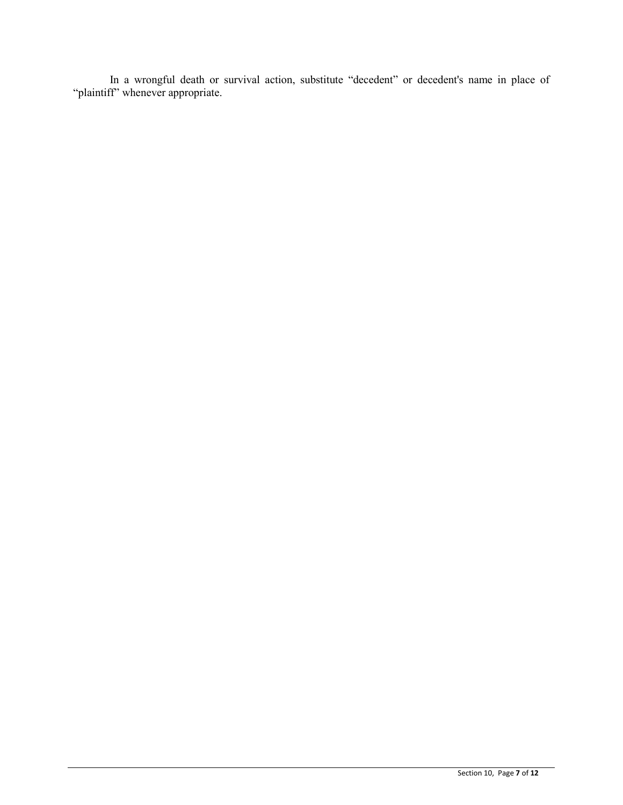In a wrongful death or survival action, substitute "decedent" or decedent's name in place of "plaintiff" whenever appropriate.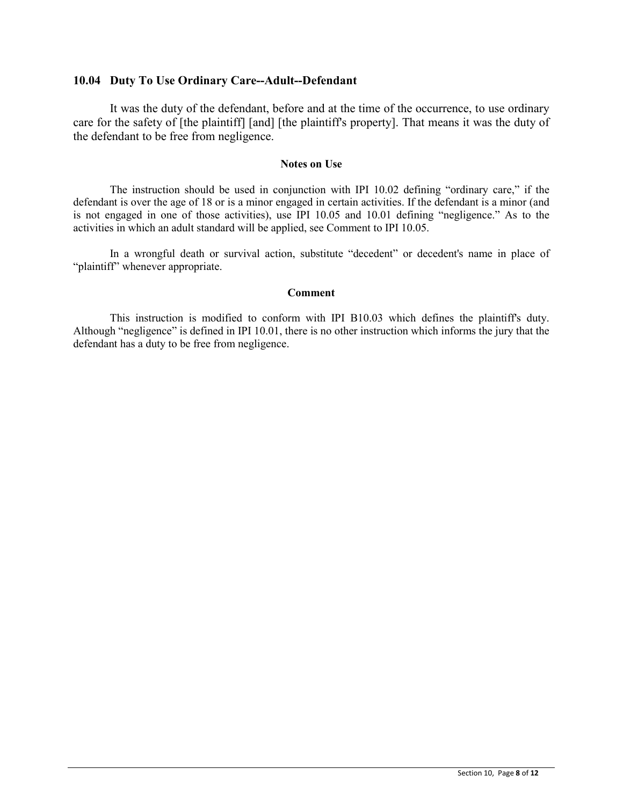### **10.04 Duty To Use Ordinary Care--Adult--Defendant**

It was the duty of the defendant, before and at the time of the occurrence, to use ordinary care for the safety of [the plaintiff] [and] [the plaintiff's property]. That means it was the duty of the defendant to be free from negligence.

#### **Notes on Use**

The instruction should be used in conjunction with IPI 10.02 defining "ordinary care," if the defendant is over the age of 18 or is a minor engaged in certain activities. If the defendant is a minor (and is not engaged in one of those activities), use IPI 10.05 and 10.01 defining "negligence." As to the activities in which an adult standard will be applied, see Comment to IPI 10.05.

In a wrongful death or survival action, substitute "decedent" or decedent's name in place of "plaintiff" whenever appropriate.

#### **Comment**

This instruction is modified to conform with IPI B10.03 which defines the plaintiff's duty. Although "negligence" is defined in IPI 10.01, there is no other instruction which informs the jury that the defendant has a duty to be free from negligence.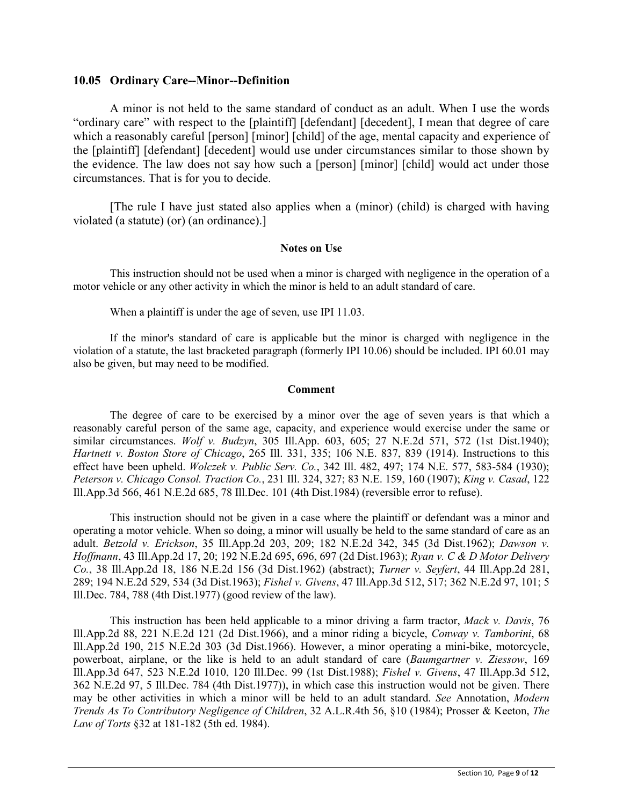#### **10.05 Ordinary Care--Minor--Definition**

A minor is not held to the same standard of conduct as an adult. When I use the words "ordinary care" with respect to the [plaintiff] [defendant] [decedent], I mean that degree of care which a reasonably careful [person] [minor] [child] of the age, mental capacity and experience of the [plaintiff] [defendant] [decedent] would use under circumstances similar to those shown by the evidence. The law does not say how such a [person] [minor] [child] would act under those circumstances. That is for you to decide.

[The rule I have just stated also applies when a (minor) (child) is charged with having violated (a statute) (or) (an ordinance).]

#### **Notes on Use**

This instruction should not be used when a minor is charged with negligence in the operation of a motor vehicle or any other activity in which the minor is held to an adult standard of care.

When a plaintiff is under the age of seven, use IPI 11.03.

If the minor's standard of care is applicable but the minor is charged with negligence in the violation of a statute, the last bracketed paragraph (formerly IPI 10.06) should be included. IPI 60.01 may also be given, but may need to be modified.

#### **Comment**

The degree of care to be exercised by a minor over the age of seven years is that which a reasonably careful person of the same age, capacity, and experience would exercise under the same or similar circumstances. *Wolf v. Budzyn*, 305 Ill.App. 603, 605; 27 N.E.2d 571, 572 (1st Dist.1940); *Hartnett v. Boston Store of Chicago*, 265 Ill. 331, 335; 106 N.E. 837, 839 (1914). Instructions to this effect have been upheld. *Wolczek v. Public Serv. Co.*, 342 Ill. 482, 497; 174 N.E. 577, 583-584 (1930); *Peterson v. Chicago Consol. Traction Co.*, 231 Ill. 324, 327; 83 N.E. 159, 160 (1907); *King v. Casad*, 122 Ill.App.3d 566, 461 N.E.2d 685, 78 Ill.Dec. 101 (4th Dist.1984) (reversible error to refuse).

This instruction should not be given in a case where the plaintiff or defendant was a minor and operating a motor vehicle. When so doing, a minor will usually be held to the same standard of care as an adult. *Betzold v. Erickson*, 35 Ill.App.2d 203, 209; 182 N.E.2d 342, 345 (3d Dist.1962); *Dawson v. Hoffmann*, 43 Ill.App.2d 17, 20; 192 N.E.2d 695, 696, 697 (2d Dist.1963); *Ryan v. C & D Motor Delivery Co.*, 38 Ill.App.2d 18, 186 N.E.2d 156 (3d Dist.1962) (abstract); *Turner v. Seyfert*, 44 Ill.App.2d 281, 289; 194 N.E.2d 529, 534 (3d Dist.1963); *Fishel v. Givens*, 47 Ill.App.3d 512, 517; 362 N.E.2d 97, 101; 5 Ill.Dec. 784, 788 (4th Dist.1977) (good review of the law).

This instruction has been held applicable to a minor driving a farm tractor, *Mack v. Davis*, 76 Ill.App.2d 88, 221 N.E.2d 121 (2d Dist.1966), and a minor riding a bicycle, *Conway v. Tamborini*, 68 Ill.App.2d 190, 215 N.E.2d 303 (3d Dist.1966). However, a minor operating a mini-bike, motorcycle, powerboat, airplane, or the like is held to an adult standard of care (*Baumgartner v. Ziessow*, 169 Ill.App.3d 647, 523 N.E.2d 1010, 120 Ill.Dec. 99 (1st Dist.1988); *Fishel v. Givens*, 47 Ill.App.3d 512, 362 N.E.2d 97, 5 Ill.Dec. 784 (4th Dist.1977)), in which case this instruction would not be given. There may be other activities in which a minor will be held to an adult standard. *See* Annotation, *Modern Trends As To Contributory Negligence of Children*, 32 A.L.R.4th 56, §10 (1984); Prosser & Keeton, *The Law of Torts* §32 at 181-182 (5th ed. 1984).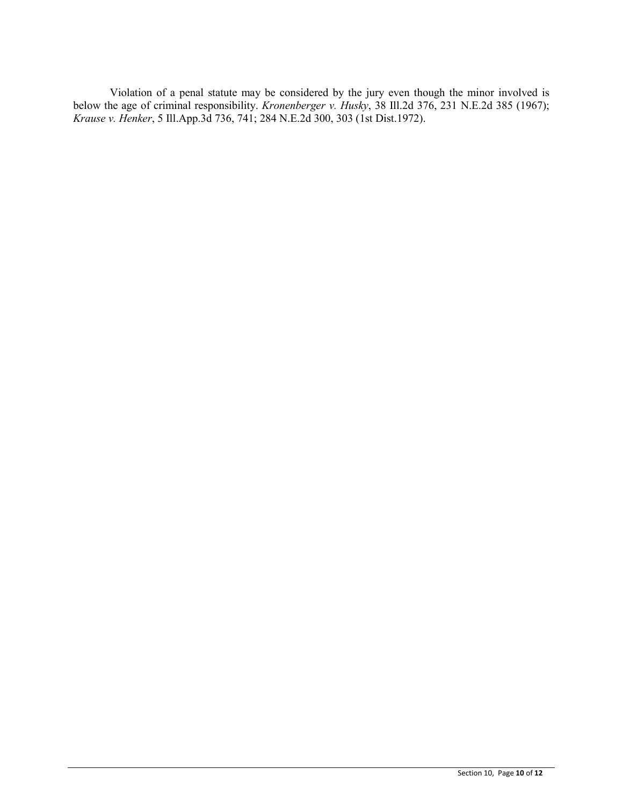Violation of a penal statute may be considered by the jury even though the minor involved is below the age of criminal responsibility. *Kronenberger v. Husky*, 38 Ill.2d 376, 231 N.E.2d 385 (1967); *Krause v. Henker*, 5 Ill.App.3d 736, 741; 284 N.E.2d 300, 303 (1st Dist.1972).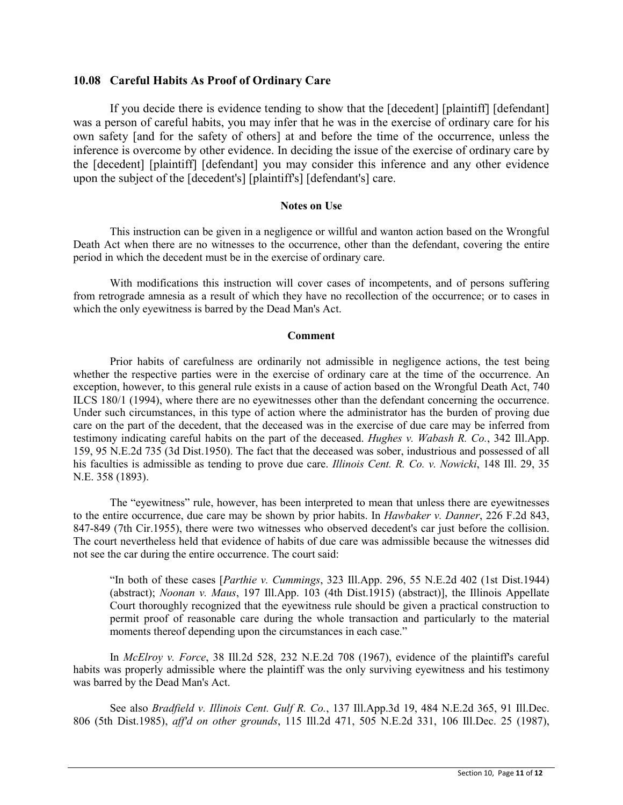## **10.08 Careful Habits As Proof of Ordinary Care**

If you decide there is evidence tending to show that the [decedent] [plaintiff] [defendant] was a person of careful habits, you may infer that he was in the exercise of ordinary care for his own safety [and for the safety of others] at and before the time of the occurrence, unless the inference is overcome by other evidence. In deciding the issue of the exercise of ordinary care by the [decedent] [plaintiff] [defendant] you may consider this inference and any other evidence upon the subject of the [decedent's] [plaintiff's] [defendant's] care.

#### **Notes on Use**

This instruction can be given in a negligence or willful and wanton action based on the Wrongful Death Act when there are no witnesses to the occurrence, other than the defendant, covering the entire period in which the decedent must be in the exercise of ordinary care.

With modifications this instruction will cover cases of incompetents, and of persons suffering from retrograde amnesia as a result of which they have no recollection of the occurrence; or to cases in which the only eyewitness is barred by the Dead Man's Act.

#### **Comment**

Prior habits of carefulness are ordinarily not admissible in negligence actions, the test being whether the respective parties were in the exercise of ordinary care at the time of the occurrence. An exception, however, to this general rule exists in a cause of action based on the Wrongful Death Act, 740 ILCS 180/1 (1994), where there are no eyewitnesses other than the defendant concerning the occurrence. Under such circumstances, in this type of action where the administrator has the burden of proving due care on the part of the decedent, that the deceased was in the exercise of due care may be inferred from testimony indicating careful habits on the part of the deceased. *Hughes v. Wabash R. Co.*, 342 Ill.App. 159, 95 N.E.2d 735 (3d Dist.1950). The fact that the deceased was sober, industrious and possessed of all his faculties is admissible as tending to prove due care. *Illinois Cent. R. Co. v. Nowicki*, 148 Ill. 29, 35 N.E. 358 (1893).

The "eyewitness" rule, however, has been interpreted to mean that unless there are eyewitnesses to the entire occurrence, due care may be shown by prior habits. In *Hawbaker v. Danner*, 226 F.2d 843, 847-849 (7th Cir.1955), there were two witnesses who observed decedent's car just before the collision. The court nevertheless held that evidence of habits of due care was admissible because the witnesses did not see the car during the entire occurrence. The court said:

"In both of these cases [*Parthie v. Cummings*, 323 Ill.App. 296, 55 N.E.2d 402 (1st Dist.1944) (abstract); *Noonan v. Maus*, 197 Ill.App. 103 (4th Dist.1915) (abstract)], the Illinois Appellate Court thoroughly recognized that the eyewitness rule should be given a practical construction to permit proof of reasonable care during the whole transaction and particularly to the material moments thereof depending upon the circumstances in each case."

In *McElroy v. Force*, 38 Ill.2d 528, 232 N.E.2d 708 (1967), evidence of the plaintiff's careful habits was properly admissible where the plaintiff was the only surviving eyewitness and his testimony was barred by the Dead Man's Act.

See also *Bradfield v. Illinois Cent. Gulf R. Co.*, 137 Ill.App.3d 19, 484 N.E.2d 365, 91 Ill.Dec. 806 (5th Dist.1985), *aff'd on other grounds*, 115 Ill.2d 471, 505 N.E.2d 331, 106 Ill.Dec. 25 (1987),